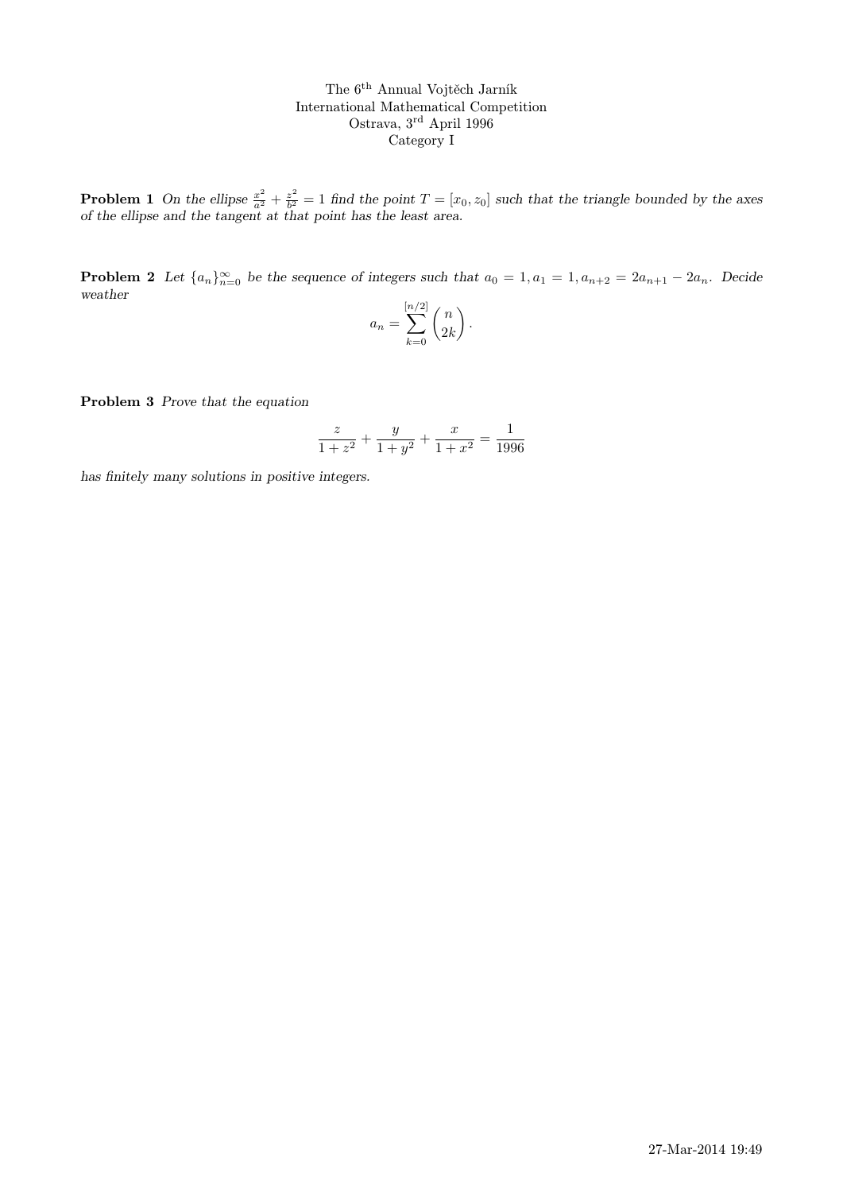The 6th Annual Vojtěch Jarník International Mathematical Competition Ostrava, 3rd April 1996 Category I

**Problem 1** On the ellipse  $\frac{x^2}{a^2} + \frac{z^2}{b^2}$  $\frac{z^2}{b^2} = 1$  find the point  $T = [x_0, z_0]$  such that the triangle bounded by the axes of the ellipse and the tangent at that point has the least area.

**Problem 2** Let  $\{a_n\}_{n=0}^{\infty}$  be the sequence of integers such that  $a_0 = 1, a_1 = 1, a_{n+2} = 2a_{n+1} - 2a_n$ . Decide weather

$$
a_n = \sum_{k=0}^{[n/2]} \binom{n}{2k}.
$$

Problem 3 Prove that the equation

$$
\frac{z}{1+z^2} + \frac{y}{1+y^2} + \frac{x}{1+x^2} = \frac{1}{1996}
$$

has finitely many solutions in positive integers.